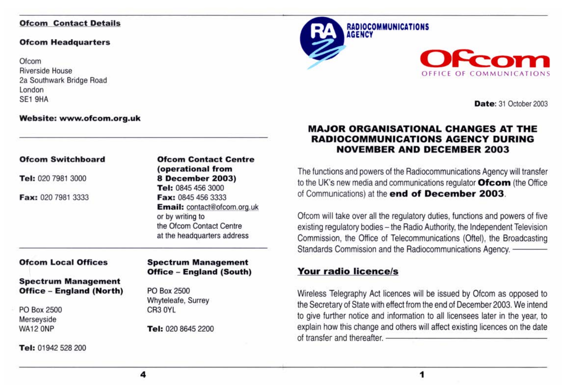### **Ofcom Contact Details**

#### **Ofcom Headquarters**

**Of com** Riverside House 2a Southwark Bridge Road London SE1 9HA

### **Website: www.ofcom.org.uk**

### **Ofcom Switchboard**

**Tel:** 020 7981 3000

**Fax:** 020 7981 3333

**Ofcom Contact Centre (operational from 8 Decembe r 2003) Tel:** 0845 456 3000 **Fax:** 0845 456 3333 **Email:** contact@ofcom.org.uk or by writing to the Ofcom Contact Centre at the headquarters address

### **Ofcom Local Offices**

### **Spectrum Management Office - England (North)**

PO Box 2500 Merseyside WA12 ONP

**Tel:** 01942 528 200

### **Spectrum Management Offic e - England (South)**

PO Box 2500 Whyteleafe, Surrey CR3 OYL

**Tel:** 020 8645 2200





**Date:** 31 October 2003

## **MA.JOR ORGANISATIONAL CHANGES AT THE RADIOCOMMUNICATIONS AGENCY DURING NOVEMBER AND DECEMBER 2003**

The functions and powers of the Radiocommunications Agency will transfer to the UK's new media and communications regulator **Ofcom** (the Office of Communications) at the **end of December 2003.** 

Ofcom will take over all the regulatory duties, functions and powers of five existing regulatory bodies - the Radio Authority, the Independent Television Commission, the Office of Telecommunications (Oftel), the Broadcasting existing regulatory bodies - the Radio Authority, the Independent Television<br>Commission, the Office of Telecommunications (Oftel), the Broadcasting<br>Standards Commission and the Radiocommunications Agency.

## **Your radio licence/s**

Wireless Telegraphy Act licences will be issued by Ofcom as opposed to the Secretary of State with effect from the end of December 2003. We intend to give further notice and information to all licensees later in the year, to explain how this change and others will affect existing licences on the date of transfer and thereafter.<br>explain how this change and others will affect existing licences on the date<br>of transfer and thereafter.